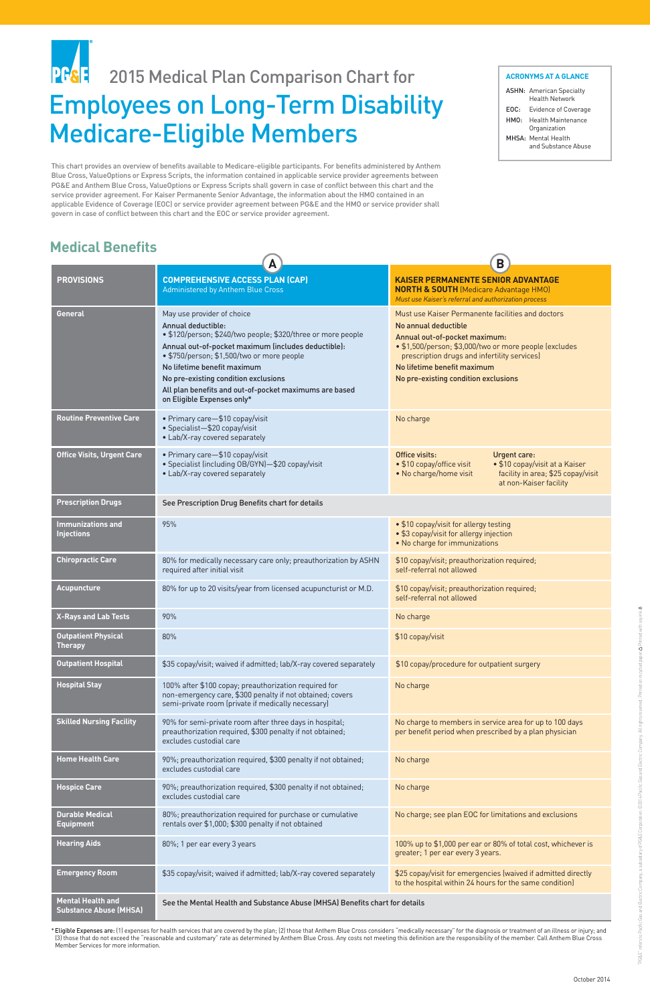This chart provides an overview of benefits available to Medicare-eligible participants. For benefits administered by Anthem Blue Cross, ValueOptions or Express Scripts, the information contained in applicable service provider agreements between PG&E and Anthem Blue Cross, ValueOptions or Express Scripts shall govern in case of conflict between this chart and the service provider agreement. For Kaiser Permanente Senior Advantage, the information about the HMO contained in an applicable Evidence of Coverage (EOC) or service provider agreement between PG&E and the HMO or service provider shall govern in case of conflict between this chart and the EOC or service provider agreement.

# **PG&E** 2015 Medical Plan Comparison Chart for Employees on Long-Term Disability Medicare-Eligible Members

|                                                           | A                                                                                                                                                                                                                                                                                                                                                                                    | B                                                                                                                                                                                                                                                                                           |
|-----------------------------------------------------------|--------------------------------------------------------------------------------------------------------------------------------------------------------------------------------------------------------------------------------------------------------------------------------------------------------------------------------------------------------------------------------------|---------------------------------------------------------------------------------------------------------------------------------------------------------------------------------------------------------------------------------------------------------------------------------------------|
| <b>PROVISIONS</b>                                         | <b>COMPREHENSIVE ACCESS PLAN (CAP)</b><br><b>Administered by Anthem Blue Cross</b>                                                                                                                                                                                                                                                                                                   | <b>KAISER PERMANENTE SENIOR ADVANTAGE</b><br><b>NORTH &amp; SOUTH</b> (Medicare Advantage HMO)<br>Must use Kaiser's referral and authorization process                                                                                                                                      |
| General                                                   | May use provider of choice<br>Annual deductible:<br>• \$120/person; \$240/two people; \$320/three or more people<br>Annual out-of-pocket maximum (includes deductible):<br>· \$750/person; \$1,500/two or more people<br>No lifetime benefit maximum<br>No pre-existing condition exclusions<br>All plan benefits and out-of-pocket maximums are based<br>on Eligible Expenses only* | Must use Kaiser Permanente facilities and doctors<br>No annual deductible<br>Annual out-of-pocket maximum:<br>• \$1,500/person; \$3,000/two or more people (excludes<br>prescription drugs and infertility services)<br>No lifetime benefit maximum<br>No pre-existing condition exclusions |
| <b>Routine Preventive Care</b>                            | • Primary care-\$10 copay/visit<br>• Specialist-\$20 copay/visit<br>• Lab/X-ray covered separately                                                                                                                                                                                                                                                                                   | No charge                                                                                                                                                                                                                                                                                   |
| <b>Office Visits, Urgent Care</b>                         | • Primary care-\$10 copay/visit<br>• Specialist (including OB/GYN)-\$20 copay/visit<br>• Lab/X-ray covered separately                                                                                                                                                                                                                                                                | Office visits:<br><b>Urgent care:</b><br>• \$10 copay/visit at a Kaiser<br>• \$10 copay/office visit<br>facility in area; \$25 copay/visit<br>• No charge/home visit<br>at non-Kaiser facility                                                                                              |
| <b>Prescription Drugs</b>                                 | See Prescription Drug Benefits chart for details                                                                                                                                                                                                                                                                                                                                     |                                                                                                                                                                                                                                                                                             |
| <b>Immunizations and</b><br><b>Injections</b>             | 95%                                                                                                                                                                                                                                                                                                                                                                                  | • \$10 copay/visit for allergy testing<br>• \$3 copay/visit for allergy injection<br>• No charge for immunizations                                                                                                                                                                          |
| <b>Chiropractic Care</b>                                  | 80% for medically necessary care only; preauthorization by ASHN<br>required after initial visit                                                                                                                                                                                                                                                                                      | \$10 copay/visit; preauthorization required;<br>self-referral not allowed                                                                                                                                                                                                                   |
| <b>Acupuncture</b>                                        | 80% for up to 20 visits/year from licensed acupuncturist or M.D.                                                                                                                                                                                                                                                                                                                     | \$10 copay/visit; preauthorization required;<br>self-referral not allowed                                                                                                                                                                                                                   |
| <b>X-Rays and Lab Tests</b>                               | 90%                                                                                                                                                                                                                                                                                                                                                                                  | No charge                                                                                                                                                                                                                                                                                   |
| <b>Outpatient Physical</b><br><b>Therapy</b>              | 80%                                                                                                                                                                                                                                                                                                                                                                                  | \$10 copay/visit                                                                                                                                                                                                                                                                            |
| <b>Outpatient Hospital</b>                                | \$35 copay/visit; waived if admitted; lab/X-ray covered separately                                                                                                                                                                                                                                                                                                                   | \$10 copay/procedure for outpatient surgery                                                                                                                                                                                                                                                 |
| <b>Hospital Stay</b>                                      | 100% after \$100 copay; preauthorization required for<br>non-emergency care, \$300 penalty if not obtained; covers<br>semi-private room (private if medically necessary)                                                                                                                                                                                                             | No charge                                                                                                                                                                                                                                                                                   |
| <b>Skilled Nursing Facility</b>                           | 90% for semi-private room after three days in hospital;<br>preauthorization required, \$300 penalty if not obtained;<br>excludes custodial care                                                                                                                                                                                                                                      | No charge to members in service area for up to 100 days<br>per benefit period when prescribed by a plan physician                                                                                                                                                                           |
| <b>Home Health Care</b>                                   | 90%; preauthorization required, \$300 penalty if not obtained;<br>excludes custodial care                                                                                                                                                                                                                                                                                            | No charge                                                                                                                                                                                                                                                                                   |
| <b>Hospice Care</b>                                       | 90%; preauthorization required, \$300 penalty if not obtained;<br>excludes custodial care                                                                                                                                                                                                                                                                                            | No charge                                                                                                                                                                                                                                                                                   |
| <b>Durable Medical</b><br><b>Equipment</b>                | 80%; preauthorization required for purchase or cumulative<br>rentals over \$1,000; \$300 penalty if not obtained                                                                                                                                                                                                                                                                     | No charge; see plan EOC for limitations and exclusions                                                                                                                                                                                                                                      |
| <b>Hearing Aids</b>                                       | 80%; 1 per ear every 3 years                                                                                                                                                                                                                                                                                                                                                         | 100% up to \$1,000 per ear or 80% of total cost, whichever is<br>greater; 1 per ear every 3 years.                                                                                                                                                                                          |
| <b>Emergency Room</b>                                     | \$35 copay/visit; waived if admitted; lab/X-ray covered separately                                                                                                                                                                                                                                                                                                                   | \$25 copay/visit for emergencies (waived if admitted directly<br>to the hospital within 24 hours for the same condition)                                                                                                                                                                    |
| <b>Mental Health and</b><br><b>Substance Abuse (MHSA)</b> | See the Mental Health and Substance Abuse (MHSA) Benefits chart for details                                                                                                                                                                                                                                                                                                          |                                                                                                                                                                                                                                                                                             |

# **Medical Benefits**

#### **ACRONYMS AT A GLANCE**

| <b>ASHN:</b> American Specialty |  |
|---------------------------------|--|
| <b>Health Network</b>           |  |

- EOC: Evidence of Coverage
- HMO: Health Maintenance
- Organization
- MHSA: Mental Health and Substance Abuse

\*Eligible Expenses are: (1) expenses for health services that are covered by the plan; (2) those that Anthem Blue Cross considers "medically necessary" for the diagnosis or treatment of an illness or injury; and (3) those that do not exceed the "reasonable and customary" rate as determined by Anthem Blue Cross. Any costs not meeting this definition are the responsibility of the member. Call Anthem Blue Cross Member Services for more information.